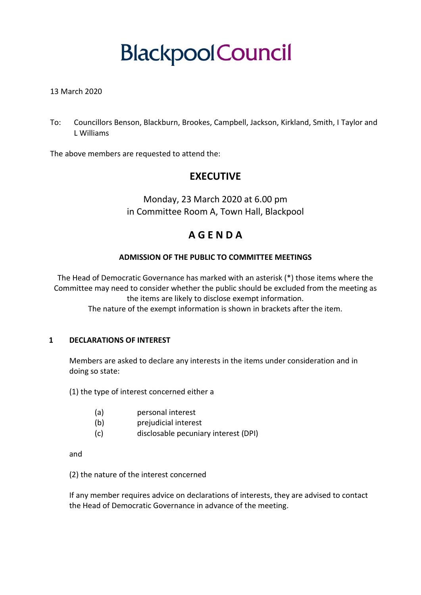# **BlackpoolCouncil**

#### 13 March 2020

To: Councillors Benson, Blackburn, Brookes, Campbell, Jackson, Kirkland, Smith, I Taylor and L Williams

The above members are requested to attend the:

## **EXECUTIVE**

Monday, 23 March 2020 at 6.00 pm in Committee Room A, Town Hall, Blackpool

## **A G E N D A**

#### **ADMISSION OF THE PUBLIC TO COMMITTEE MEETINGS**

The Head of Democratic Governance has marked with an asterisk (\*) those items where the Committee may need to consider whether the public should be excluded from the meeting as the items are likely to disclose exempt information.

The nature of the exempt information is shown in brackets after the item.

#### **1 DECLARATIONS OF INTEREST**

Members are asked to declare any interests in the items under consideration and in doing so state:

(1) the type of interest concerned either a

- (a) personal interest
- (b) prejudicial interest
- (c) disclosable pecuniary interest (DPI)

and

(2) the nature of the interest concerned

If any member requires advice on declarations of interests, they are advised to contact the Head of Democratic Governance in advance of the meeting.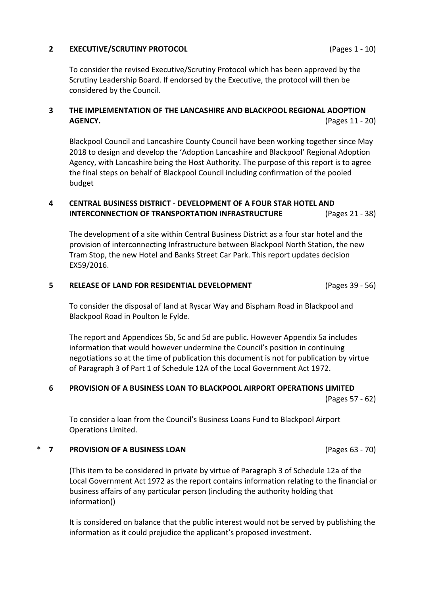#### **2 EXECUTIVE/SCRUTINY PROTOCOL** (Pages 1 - 10)

To consider the revised Executive/Scrutiny Protocol which has been approved by the Scrutiny Leadership Board. If endorsed by the Executive, the protocol will then be considered by the Council.

#### **3 THE IMPLEMENTATION OF THE LANCASHIRE AND BLACKPOOL REGIONAL ADOPTION AGENCY.** (Pages 11 - 20)

Blackpool Council and Lancashire County Council have been working together since May 2018 to design and develop the 'Adoption Lancashire and Blackpool' Regional Adoption Agency, with Lancashire being the Host Authority. The purpose of this report is to agree the final steps on behalf of Blackpool Council including confirmation of the pooled budget

#### **4 CENTRAL BUSINESS DISTRICT - DEVELOPMENT OF A FOUR STAR HOTEL AND INTERCONNECTION OF TRANSPORTATION INFRASTRUCTURE** (Pages 21 - 38)

The development of a site within Central Business District as a four star hotel and the provision of interconnecting Infrastructure between Blackpool North Station, the new Tram Stop, the new Hotel and Banks Street Car Park. This report updates decision EX59/2016.

#### **5 RELEASE OF LAND FOR RESIDENTIAL DEVELOPMENT** (Pages 39 - 56)

To consider the disposal of land at Ryscar Way and Bispham Road in Blackpool and Blackpool Road in Poulton le Fylde.

The report and Appendices 5b, 5c and 5d are public. However Appendix 5a includes information that would however undermine the Council's position in continuing negotiations so at the time of publication this document is not for publication by virtue of Paragraph 3 of Part 1 of Schedule 12A of the Local Government Act 1972.

### **6 PROVISION OF A BUSINESS LOAN TO BLACKPOOL AIRPORT OPERATIONS LIMITED**

(Pages 57 - 62)

To consider a loan from the Council's Business Loans Fund to Blackpool Airport Operations Limited.

#### \* **7 PROVISION OF A BUSINESS LOAN** (Pages 63 - 70)

(This item to be considered in private by virtue of Paragraph 3 of Schedule 12a of the Local Government Act 1972 as the report contains information relating to the financial or business affairs of any particular person (including the authority holding that information))

It is considered on balance that the public interest would not be served by publishing the information as it could prejudice the applicant's proposed investment.